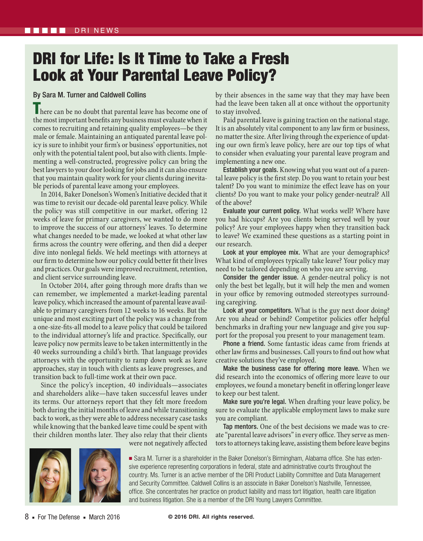## DRI for Life: Is It Time to Take a Fresh Look at Your Parental Leave Policy?

## By Sara M. Turner and Caldwell Collins

There can be no doubt that parental leave has become one of the most important benefits any business must evaluate when it comes to recruiting and retaining quality employees—be they male or female. Maintaining an antiquated parental leave policy is sure to inhibit your firm's or business' opportunities, not only with the potential talent pool, but also with clients. Implementing a well-constructed, progressive policy can bring the best lawyers to your door looking for jobs and it can also ensure that you maintain quality work for your clients during inevitable periods of parental leave among your employees.

In 2014, Baker Donelson's Women's Initiative decided that it was time to revisit our decade-old parental leave policy. While the policy was still competitive in our market, offering 12 weeks of leave for primary caregivers, we wanted to do more to improve the success of our attorneys' leaves. To determine what changes needed to be made, we looked at what other law firms across the country were offering, and then did a deeper dive into nonlegal fields. We held meetings with attorneys at our firm to determine how our policy could better fit their lives and practices. Our goals were improved recruitment, retention, and client service surrounding leave.

In October 2014, after going through more drafts than we can remember, we implemented a market-leading parental leave policy, which increased the amount of parental leave available to primary caregivers from 12 weeks to 16 weeks. But the unique and most exciting part of the policy was a change from a one-size-fits-all model to a leave policy that could be tailored to the individual attorney's life and practice. Specifically, our leave policy now permits leave to be taken intermittently in the 40 weeks surrounding a child's birth. That language provides attorneys with the opportunity to ramp down work as leave approaches, stay in touch with clients as leave progresses, and transition back to full-time work at their own pace.

Since the policy's inception, 40 individuals—associates and shareholders alike—have taken successful leaves under its terms. Our attorneys report that they felt more freedom both during the initial months of leave and while transitioning back to work, as they were able to address necessary case tasks while knowing that the banked leave time could be spent with their children months later. They also relay that their clients by their absences in the same way that they may have been had the leave been taken all at once without the opportunity to stay involved.

Paid parental leave is gaining traction on the national stage. It is an absolutely vital component to any law firm or business, no matter the size. After living through the experience of updating our own firm's leave policy, here are our top tips of what to consider when evaluating your parental leave program and implementing a new one.

Establish your goals. Knowing what you want out of a parental leave policy is the first step. Do you want to retain your best talent? Do you want to minimize the effect leave has on your clients? Do you want to make your policy gender-neutral? All of the above?

Evaluate your current policy. What works well? Where have you had hiccups? Are you clients being served well by your policy? Are your employees happy when they transition back to leave? We examined these questions as a starting point in our research.

Look at your employee mix. What are your demographics? What kind of employees typically take leave? Your policy may need to be tailored depending on who you are serving.

Consider the gender issue. A gender-neutral policy is not only the best bet legally, but it will help the men and women in your office by removing outmoded stereotypes surrounding caregiving.

Look at your competitors. What is the guy next door doing? Are you ahead or behind? Competitor policies offer helpful benchmarks in drafting your new language and give you support for the proposal you present to your management team.

Phone a friend. Some fantastic ideas came from friends at other law firms and businesses. Call yours to find out how what creative solutions they've employed.

Make the business case for offering more leave. When we did research into the economics of offering more leave to our employees, we found a monetary benefit in offering longer leave to keep our best talent.

Make sure you're legal. When drafting your leave policy, be sure to evaluate the applicable employment laws to make sure you are compliant.

Tap mentors. One of the best decisions we made was to create "parental leave advisors" in every office. They serve as mentors to attorneys taking leave, assisting them before leave begins

■ Sara M. Turner is a shareholder in the Baker Donelson's Birmingham, Alabama office. She has extensive experience representing corporations in federal, state and administrative courts throughout the country. Ms. Turner is an active member of the DRI Product Liability Committee and Data Management and Security Committee. Caldwell Collins is an associate in Baker Donelson's Nashville, Tennessee, office. She concentrates her practice on product liability and mass tort litigation, health care litigation and business litigation. She is a member of the DRI Young Lawyers Committee.



were not negatively affected